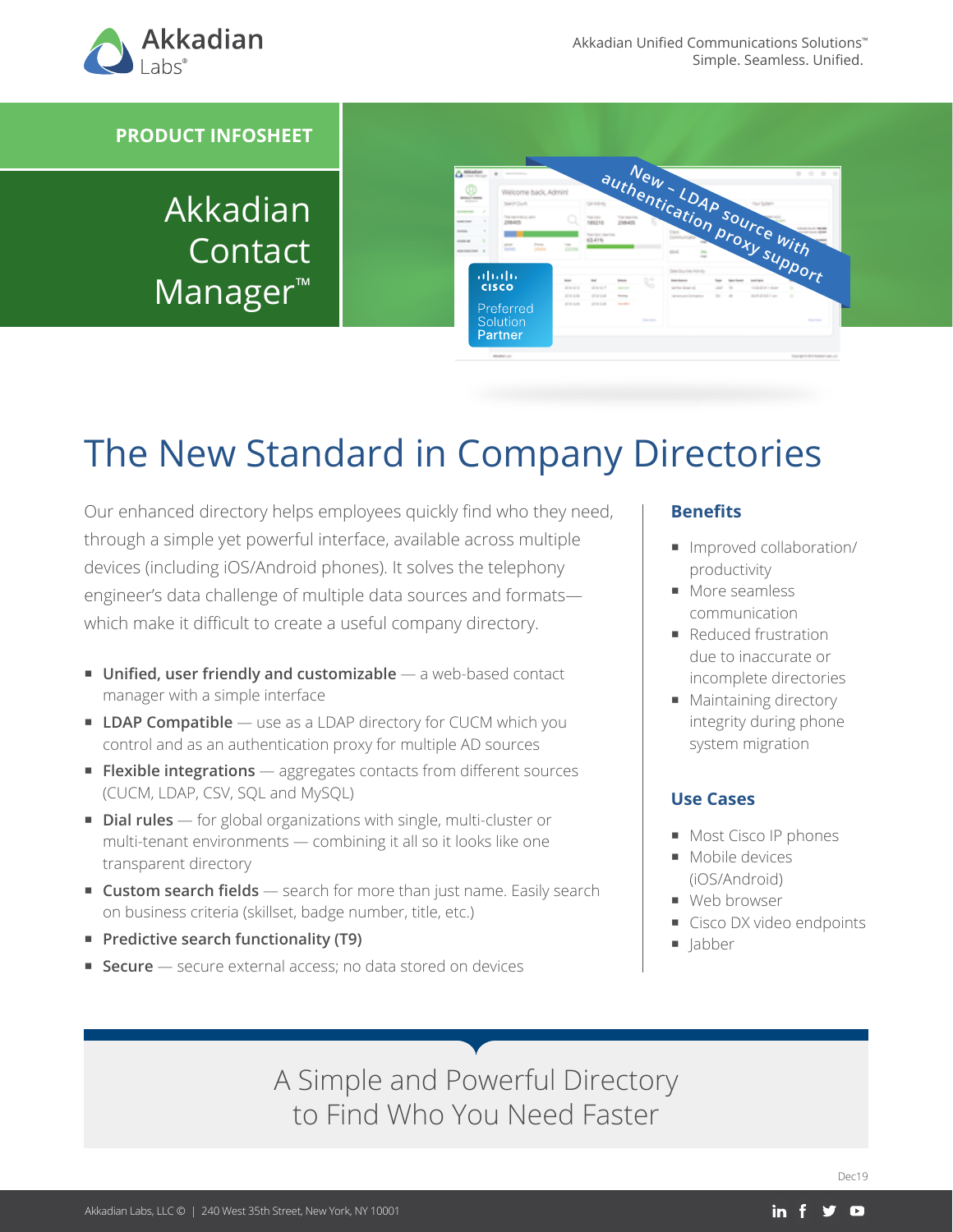

#### **PRODUCT INFOSHEET**

Akkadian Contact Manager™



# The New Standard in Company Directories

Our enhanced directory helps employees quickly find who they need, through a simple yet powerful interface, available across multiple devices (including iOS/Android phones). It solves the telephony engineer's data challenge of multiple data sources and formats which make it difficult to create a useful company directory.

- **Unified, user friendly and customizable** a web-based contact manager with a simple interface
- **LDAP Compatible** use as a LDAP directory for CUCM which you control and as an authentication proxy for multiple AD sources
- **Flexible integrations** aggregates contacts from different sources (CUCM, LDAP, CSV, SQL and MySQL)
- **Dial rules** for global organizations with single, multi-cluster or multi-tenant environments — combining it all so it looks like one transparent directory
- **Custom search fields** search for more than just name. Easily search on business criteria (skillset, badge number, title, etc.)
- **Predictive search functionality (T9)**
- **Secure** secure external access; no data stored on devices

#### **Benefits**

- Improved collaboration/ productivity
- More seamless communication
- Reduced frustration due to inaccurate or incomplete directories
- **Maintaining directory** integrity during phone system migration

#### **Use Cases**

- Most Cisco IP phones
- **Mobile devices** (iOS/Android)
- Web browser
- Cisco DX video endpoints
- $\blacksquare$  labber

A Simple and Powerful Directory to Find Who You Need Faster